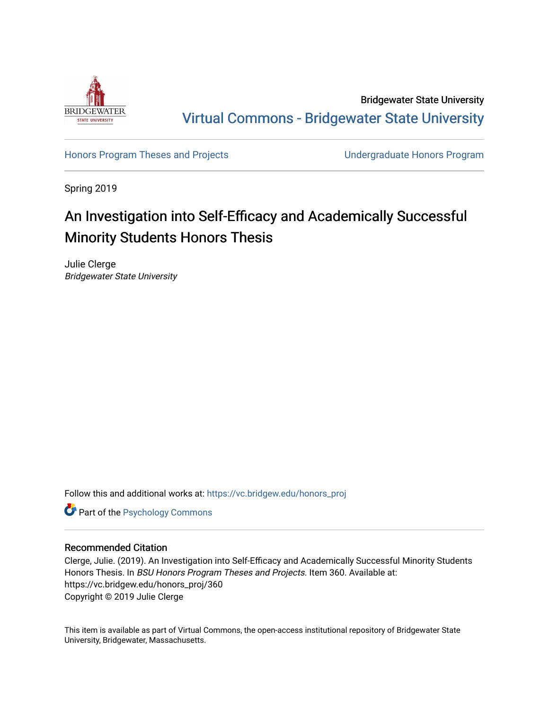

Bridgewater State University [Virtual Commons - Bridgewater State University](https://vc.bridgew.edu/) 

[Honors Program Theses and Projects](https://vc.bridgew.edu/honors_proj) [Undergraduate Honors Program](https://vc.bridgew.edu/honors) 

Spring 2019

# An Investigation into Self-Efficacy and Academically Successful Minority Students Honors Thesis

Julie Clerge Bridgewater State University

Follow this and additional works at: [https://vc.bridgew.edu/honors\\_proj](https://vc.bridgew.edu/honors_proj?utm_source=vc.bridgew.edu%2Fhonors_proj%2F360&utm_medium=PDF&utm_campaign=PDFCoverPages)

**Part of the Psychology Commons** 

# Recommended Citation

Clerge, Julie. (2019). An Investigation into Self-Efficacy and Academically Successful Minority Students Honors Thesis. In BSU Honors Program Theses and Projects. Item 360. Available at: https://vc.bridgew.edu/honors\_proj/360 Copyright © 2019 Julie Clerge

This item is available as part of Virtual Commons, the open-access institutional repository of Bridgewater State University, Bridgewater, Massachusetts.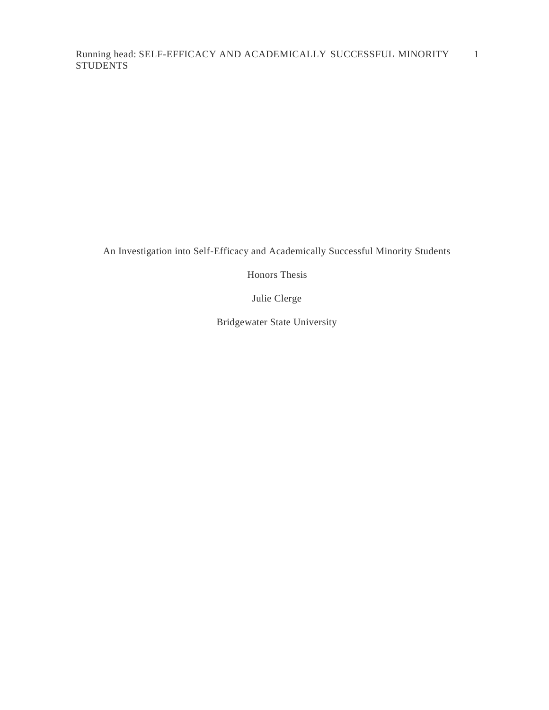An Investigation into Self-Efficacy and Academically Successful Minority Students

Honors Thesis

Julie Clerge

Bridgewater State University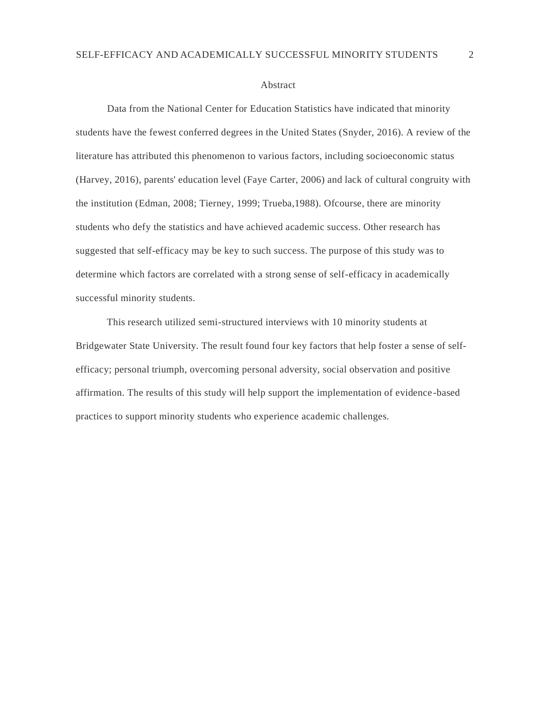#### Abstract

Data from the National Center for Education Statistics have indicated that minority students have the fewest conferred degrees in the United States (Snyder, 2016). A review of the literature has attributed this phenomenon to various factors, including socioeconomic status (Harvey, 2016), parents' education level (Faye Carter, 2006) and lack of cultural congruity with the institution (Edman, 2008; Tierney, 1999; Trueba,1988). Ofcourse, there are minority students who defy the statistics and have achieved academic success. Other research has suggested that self-efficacy may be key to such success. The purpose of this study was to determine which factors are correlated with a strong sense of self-efficacy in academically successful minority students.

This research utilized semi-structured interviews with 10 minority students at Bridgewater State University. The result found four key factors that help foster a sense of selfefficacy; personal triumph, overcoming personal adversity, social observation and positive affirmation. The results of this study will help support the implementation of evidence-based practices to support minority students who experience academic challenges.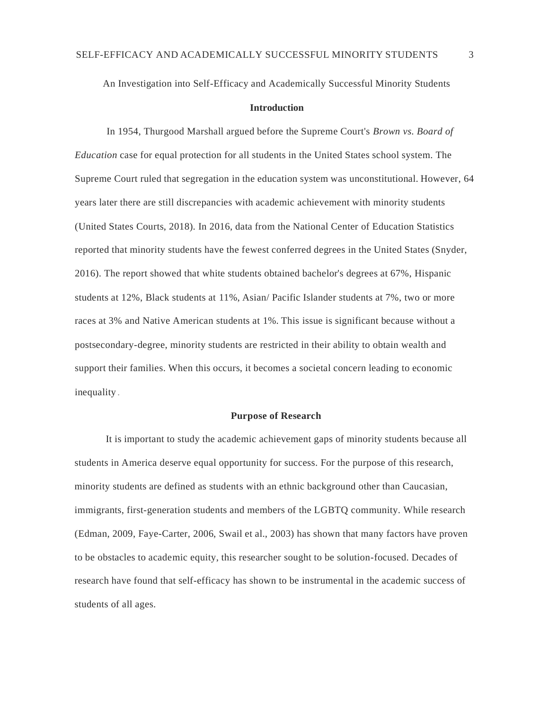An Investigation into Self-Efficacy and Academically Successful Minority Students

#### **Introduction**

In 1954, Thurgood Marshall argued before the Supreme Court's *Brown vs. Board of Education* case for equal protection for all students in the United States school system. The Supreme Court ruled that segregation in the education system was unconstitutional. However, 64 years later there are still discrepancies with academic achievement with minority students (United States Courts, 2018). In 2016, data from the National Center of Education Statistics reported that minority students have the fewest conferred degrees in the United States (Snyder, 2016). The report showed that white students obtained bachelor's degrees at 67%, Hispanic students at 12%, Black students at 11%, Asian/ Pacific Islander students at 7%, two or more races at 3% and Native American students at 1%. This issue is significant because without a postsecondary-degree, minority students are restricted in their ability to obtain wealth and support their families. When this occurs, it becomes a societal concern leading to economic inequality .

## **Purpose of Research**

It is important to study the academic achievement gaps of minority students because all students in America deserve equal opportunity for success. For the purpose of this research, minority students are defined as students with an ethnic background other than Caucasian, immigrants, first-generation students and members of the LGBTQ community. While research (Edman, 2009, Faye-Carter, 2006, Swail et al., 2003) has shown that many factors have proven to be obstacles to academic equity, this researcher sought to be solution-focused. Decades of research have found that self-efficacy has shown to be instrumental in the academic success of students of all ages.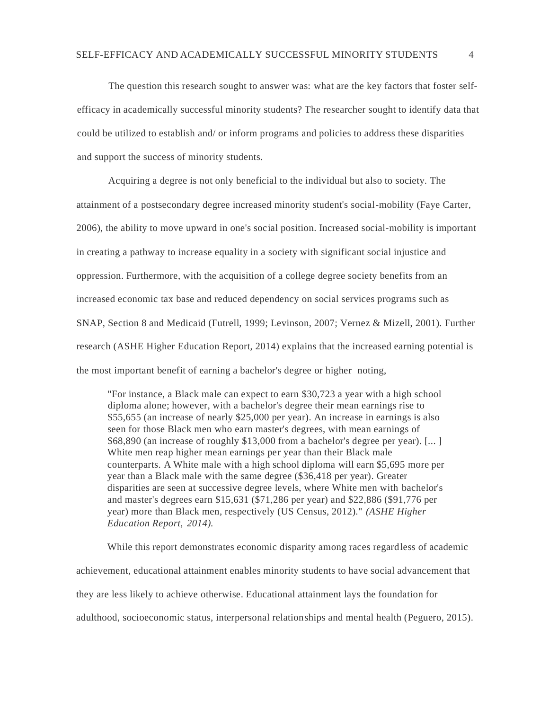The question this research sought to answer was: what are the key factors that foster selfefficacy in academically successful minority students? The researcher sought to identify data that could be utilized to establish and/ or inform programs and policies to address these disparities and support the success of minority students.

Acquiring a degree is not only beneficial to the individual but also to society. The attainment of a postsecondary degree increased minority student's social-mobility (Faye Carter, 2006), the ability to move upward in one's social position. Increased social-mobility is important in creating a pathway to increase equality in a society with significant social injustice and oppression. Furthermore, with the acquisition of a college degree society benefits from an increased economic tax base and reduced dependency on social services programs such as SNAP, Section 8 and Medicaid (Futrell, 1999; Levinson, 2007; Vernez & Mizell, 2001). Further research (ASHE Higher Education Report, 2014) explains that the increased earning potential is the most important benefit of earning a bachelor's degree or higher noting,

"For instance, a Black male can expect to earn \$30,723 a year with a high school diploma alone; however, with a bachelor's degree their mean earnings rise to \$55,655 (an increase of nearly \$25,000 per year). An increase in earnings is also seen for those Black men who earn master's degrees, with mean earnings of \$68,890 (an increase of roughly \$13,000 from a bachelor's degree per year). [... ] White men reap higher mean earnings per year than their Black male counterparts. A White male with a high school diploma will earn \$5,695 more per year than a Black male with the same degree (\$36,418 per year). Greater disparities are seen at successive degree levels, where White men with bachelor's and master's degrees earn \$15,631 (\$71,286 per year) and \$22,886 (\$91,776 per year) more than Black men, respectively (US Census, 2012)." *(ASHE Higher Education Report, 2014).*

While this report demonstrates economic disparity among races regardless of academic achievement, educational attainment enables minority students to have social advancement that they are less likely to achieve otherwise. Educational attainment lays the foundation for adulthood, socioeconomic status, interpersonal relationships and mental health (Peguero, 2015).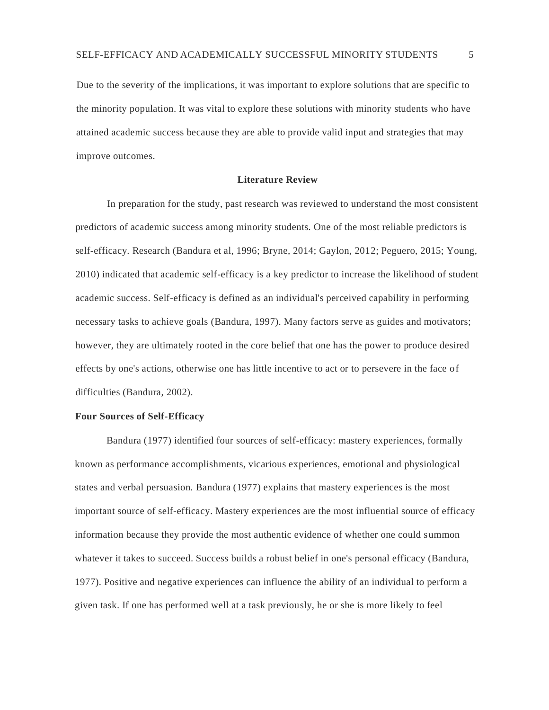Due to the severity of the implications, it was important to explore solutions that are specific to the minority population. It was vital to explore these solutions with minority students who have attained academic success because they are able to provide valid input and strategies that may improve outcomes.

#### **Literature Review**

In preparation for the study, past research was reviewed to understand the most consistent predictors of academic success among minority students. One of the most reliable predictors is self-efficacy. Research (Bandura et al, 1996; Bryne, 2014; Gaylon, 2012; Peguero, 2015; Young, 2010) indicated that academic self-efficacy is a key predictor to increase the likelihood of student academic success. Self-efficacy is defined as an individual's perceived capability in performing necessary tasks to achieve goals (Bandura, 1997). Many factors serve as guides and motivators; however, they are ultimately rooted in the core belief that one has the power to produce desired effects by one's actions, otherwise one has little incentive to act or to persevere in the face of difficulties (Bandura, 2002).

#### **Four Sources of Self-Efficacy**

Bandura (1977) identified four sources of self-efficacy: mastery experiences, formally known as performance accomplishments, vicarious experiences, emotional and physiological states and verbal persuasion. Bandura (1977) explains that mastery experiences is the most important source of self-efficacy. Mastery experiences are the most influential source of efficacy information because they provide the most authentic evidence of whether one could summon whatever it takes to succeed. Success builds a robust belief in one's personal efficacy (Bandura, 1977). Positive and negative experiences can influence the ability of an individual to perform a given task. If one has performed well at a task previously, he or she is more likely to feel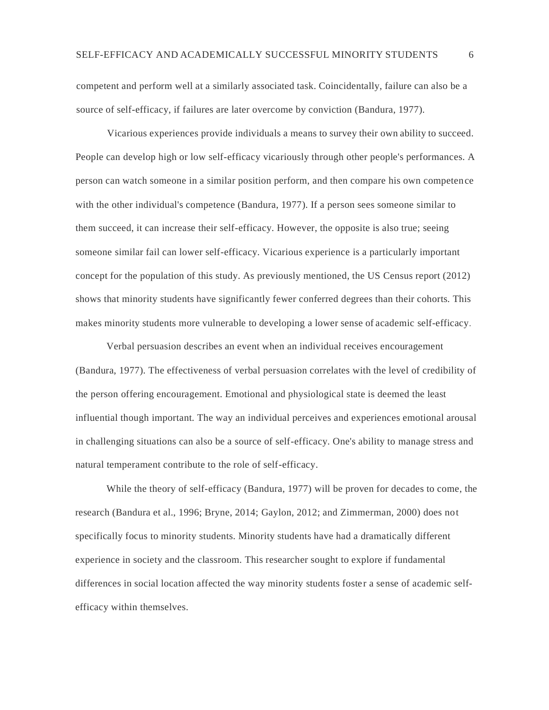competent and perform well at a similarly associated task. Coincidentally, failure can also be a source of self-efficacy, if failures are later overcome by conviction (Bandura, 1977).

Vicarious experiences provide individuals a means to survey their own ability to succeed. People can develop high or low self-efficacy vicariously through other people's performances. A person can watch someone in a similar position perform, and then compare his own competence with the other individual's competence (Bandura, 1977). If a person sees someone similar to them succeed, it can increase their self-efficacy. However, the opposite is also true; seeing someone similar fail can lower self-efficacy. Vicarious experience is a particularly important concept for the population of this study. As previously mentioned, the US Census report (2012) shows that minority students have significantly fewer conferred degrees than their cohorts. This makes minority students more vulnerable to developing a lower sense of academic self-efficacy.

Verbal persuasion describes an event when an individual receives encouragement (Bandura, 1977). The effectiveness of verbal persuasion correlates with the level of credibility of the person offering encouragement. Emotional and physiological state is deemed the least influential though important. The way an individual perceives and experiences emotional arousal in challenging situations can also be a source of self-efficacy. One's ability to manage stress and natural temperament contribute to the role of self-efficacy.

While the theory of self-efficacy (Bandura, 1977) will be proven for decades to come, the research (Bandura et al., 1996; Bryne, 2014; Gaylon, 2012; and Zimmerman, 2000) does not specifically focus to minority students. Minority students have had a dramatically different experience in society and the classroom. This researcher sought to explore if fundamental differences in social location affected the way minority students foster a sense of academic selfefficacy within themselves.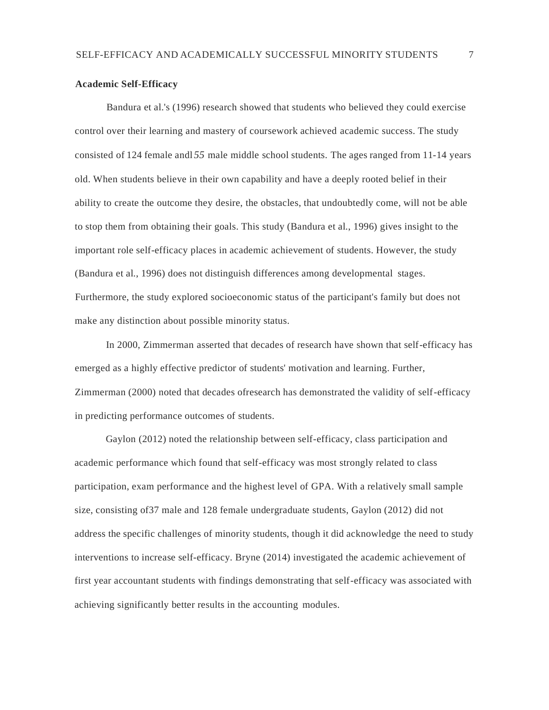# **Academic Self-Efficacy**

Bandura et al.'s (1996) research showed that students who believed they could exercise control over their learning and mastery of coursework achieved academic success. The study consisted of 124 female andl *55* male middle school students. The ages ranged from 11-14 years old. When students believe in their own capability and have a deeply rooted belief in their ability to create the outcome they desire, the obstacles, that undoubtedly come, will not be able to stop them from obtaining their goals. This study (Bandura et al., 1996) gives insight to the important role self-efficacy places in academic achievement of students. However, the study (Bandura et al., 1996) does not distinguish differences among developmental stages. Furthermore, the study explored socioeconomic status of the participant's family but does not make any distinction about possible minority status.

In 2000, Zimmerman asserted that decades of research have shown that self-efficacy has emerged as a highly effective predictor of students' motivation and learning. Further, Zimmerman (2000) noted that decades ofresearch has demonstrated the validity of self-efficacy in predicting performance outcomes of students.

Gaylon (2012) noted the relationship between self-efficacy, class participation and academic performance which found that self-efficacy was most strongly related to class participation, exam performance and the highest level of GPA. With a relatively small sample size, consisting of37 male and 128 female undergraduate students, Gaylon (2012) did not address the specific challenges of minority students, though it did acknowledge the need to study interventions to increase self-efficacy. Bryne (2014) investigated the academic achievement of first year accountant students with findings demonstrating that self-efficacy was associated with achieving significantly better results in the accounting modules.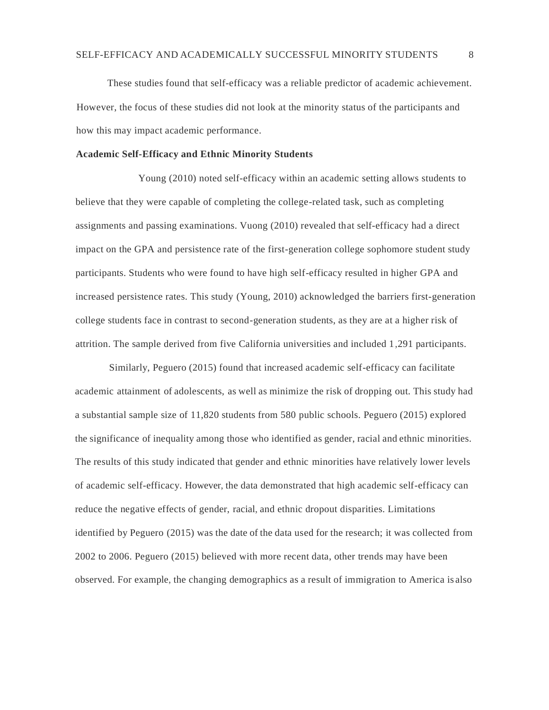These studies found that self-efficacy was a reliable predictor of academic achievement. However, the focus of these studies did not look at the minority status of the participants and how this may impact academic performance.

#### **Academic Self-Efficacy and Ethnic Minority Students**

Young (2010) noted self-efficacy within an academic setting allows students to believe that they were capable of completing the college-related task, such as completing assignments and passing examinations. Vuong (2010) revealed that self-efficacy had a direct impact on the GPA and persistence rate of the first-generation college sophomore student study participants. Students who were found to have high self-efficacy resulted in higher GPA and increased persistence rates. This study (Young, 2010) acknowledged the barriers first-generation college students face in contrast to second-generation students, as they are at a higher risk of attrition. The sample derived from five California universities and included 1,291 participants.

Similarly, Peguero (2015) found that increased academic self-efficacy can facilitate academic attainment of adolescents, as well as minimize the risk of dropping out. This study had a substantial sample size of 11,820 students from 580 public schools. Peguero (2015) explored the significance of inequality among those who identified as gender, racial and ethnic minorities. The results of this study indicated that gender and ethnic minorities have relatively lower levels of academic self-efficacy. However, the data demonstrated that high academic self-efficacy can reduce the negative effects of gender, racial, and ethnic dropout disparities. Limitations identified by Peguero (2015) was the date of the data used for the research; it was collected from 2002 to 2006. Peguero (2015) believed with more recent data, other trends may have been observed. For example, the changing demographics as a result of immigration to America is also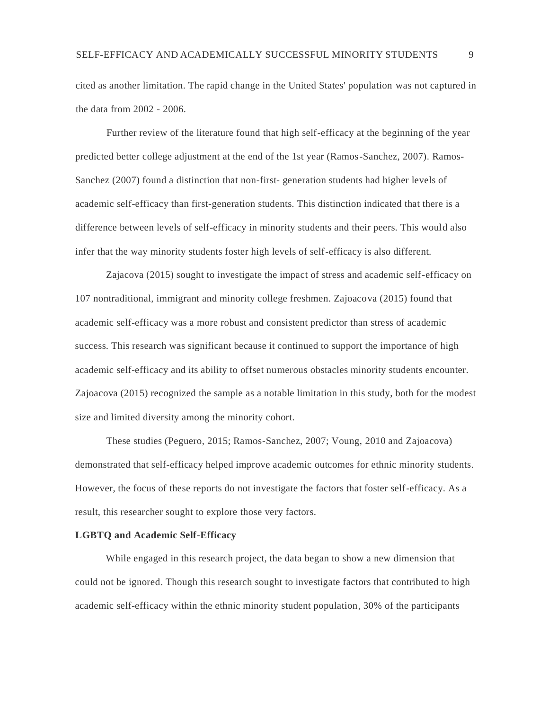cited as another limitation. The rapid change in the United States' population was not captured in the data from 2002 - 2006.

Further review of the literature found that high self-efficacy at the beginning of the year predicted better college adjustment at the end of the 1st year (Ramos-Sanchez, 2007). Ramos-Sanchez (2007) found a distinction that non-first- generation students had higher levels of academic self-efficacy than first-generation students. This distinction indicated that there is a difference between levels of self-efficacy in minority students and their peers. This would also infer that the way minority students foster high levels of self-efficacy is also different.

Zajacova (2015) sought to investigate the impact of stress and academic self-efficacy on 107 nontraditional, immigrant and minority college freshmen. Zajoacova (2015) found that academic self-efficacy was a more robust and consistent predictor than stress of academic success. This research was significant because it continued to support the importance of high academic self-efficacy and its ability to offset numerous obstacles minority students encounter. Zajoacova (2015) recognized the sample as a notable limitation in this study, both for the modest size and limited diversity among the minority cohort.

These studies (Peguero, 2015; Ramos-Sanchez, 2007; Voung, 2010 and Zajoacova) demonstrated that self-efficacy helped improve academic outcomes for ethnic minority students. However, the focus of these reports do not investigate the factors that foster self-efficacy. As a result, this researcher sought to explore those very factors.

## **LGBTQ and Academic Self-Efficacy**

While engaged in this research project, the data began to show a new dimension that could not be ignored. Though this research sought to investigate factors that contributed to high academic self-efficacy within the ethnic minority student population, 30% of the participants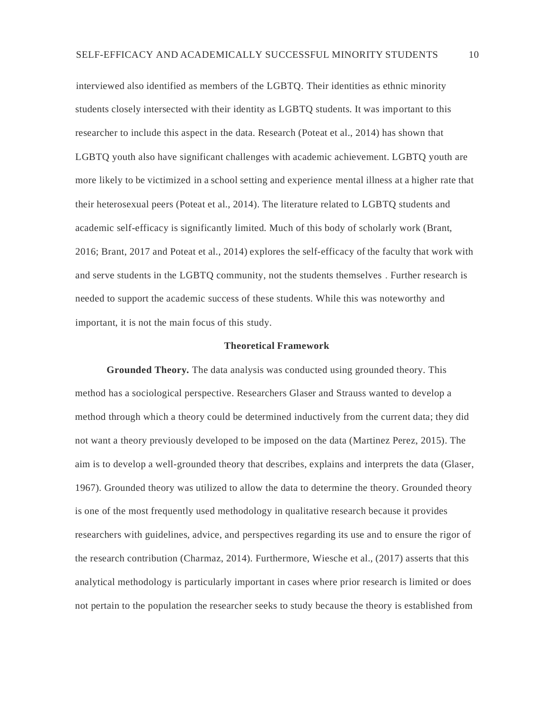interviewed also identified as members of the LGBTQ. Their identities as ethnic minority students closely intersected with their identity as LGBTQ students. It was important to this researcher to include this aspect in the data. Research (Poteat et al., 2014) has shown that LGBTQ youth also have significant challenges with academic achievement. LGBTQ youth are more likely to be victimized in a school setting and experience mental illness at a higher rate that their heterosexual peers (Poteat et al., 2014). The literature related to LGBTQ students and academic self-efficacy is significantly limited. Much of this body of scholarly work (Brant, 2016; Brant, 2017 and Poteat et al., 2014) explores the self-efficacy of the faculty that work with and serve students in the LGBTQ community, not the students themselves . Further research is needed to support the academic success of these students. While this was noteworthy and important, it is not the main focus of this study.

## **Theoretical Framework**

**Grounded Theory.** The data analysis was conducted using grounded theory. This method has a sociological perspective. Researchers Glaser and Strauss wanted to develop a method through which a theory could be determined inductively from the current data; they did not want a theory previously developed to be imposed on the data (Martinez Perez, 2015). The aim is to develop a well-grounded theory that describes, explains and interprets the data (Glaser, 1967). Grounded theory was utilized to allow the data to determine the theory. Grounded theory is one of the most frequently used methodology in qualitative research because it provides researchers with guidelines, advice, and perspectives regarding its use and to ensure the rigor of the research contribution (Charmaz, 2014). Furthermore, Wiesche et al., (2017) asserts that this analytical methodology is particularly important in cases where prior research is limited or does not pertain to the population the researcher seeks to study because the theory is established from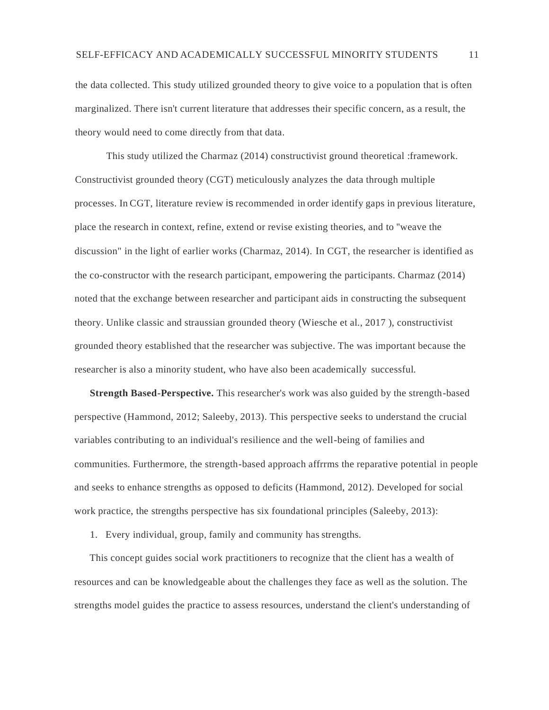the data collected. This study utilized grounded theory to give voice to a population that is often marginalized. There isn't current literature that addresses their specific concern, as a result, the theory would need to come directly from that data.

This study utilized the Charmaz (2014) constructivist ground theoretical :framework. Constructivist grounded theory (CGT) meticulously analyzes the data through multiple processes. In CGT, literature review is recommended in order identify gaps in previous literature, place the research in context, refine, extend or revise existing theories, and to ''weave the discussion" in the light of earlier works (Charmaz, 2014). In CGT, the researcher is identified as the co-constructor with the research participant, empowering the participants. Charmaz (2014) noted that the exchange between researcher and participant aids in constructing the subsequent theory. Unlike classic and straussian grounded theory (Wiesche et al., 2017 ), constructivist grounded theory established that the researcher was subjective. The was important because the researcher is also a minority student, who have also been academically successful.

**Strength Based-Perspective.** This researcher's work was also guided by the strength-based perspective (Hammond, 2012; Saleeby, 2013). This perspective seeks to understand the crucial variables contributing to an individual's resilience and the well-being of families and communities. Furthermore, the strength-based approach affrrms the reparative potential in people and seeks to enhance strengths as opposed to deficits (Hammond, 2012). Developed for social work practice, the strengths perspective has six foundational principles (Saleeby, 2013):

1. Every individual, group, family and community has strengths.

This concept guides social work practitioners to recognize that the client has a wealth of resources and can be knowledgeable about the challenges they face as well as the solution. The strengths model guides the practice to assess resources, understand the client's understanding of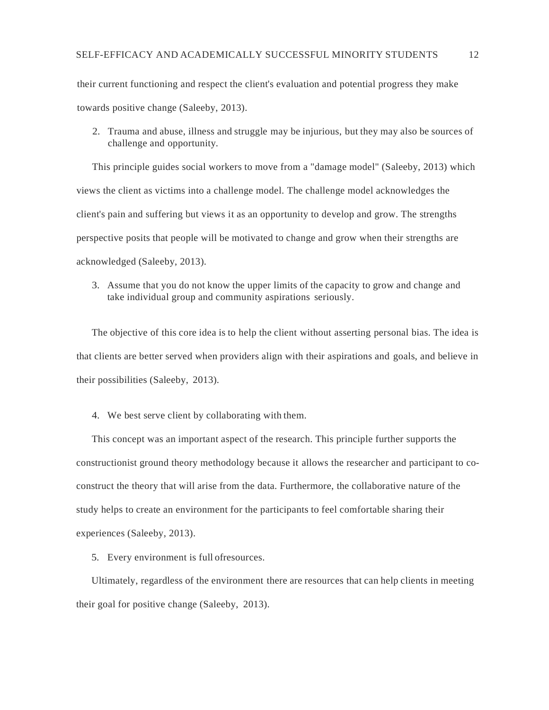their current functioning and respect the client's evaluation and potential progress they make towards positive change (Saleeby, 2013).

2. Trauma and abuse, illness and struggle may be injurious, but they may also be sources of challenge and opportunity.

This principle guides social workers to move from a "damage model" (Saleeby, 2013) which views the client as victims into a challenge model. The challenge model acknowledges the client's pain and suffering but views it as an opportunity to develop and grow. The strengths perspective posits that people will be motivated to change and grow when their strengths are acknowledged (Saleeby, 2013).

3. Assume that you do not know the upper limits of the capacity to grow and change and take individual group and community aspirations seriously.

The objective of this core idea is to help the client without asserting personal bias. The idea is that clients are better served when providers align with their aspirations and goals, and believe in their possibilities (Saleeby, 2013).

4. We best serve client by collaborating with them.

This concept was an important aspect of the research. This principle further supports the constructionist ground theory methodology because it allows the researcher and participant to coconstruct the theory that will arise from the data. Furthermore, the collaborative nature of the study helps to create an environment for the participants to feel comfortable sharing their experiences (Saleeby, 2013).

5. Every environment is full ofresources.

Ultimately, regardless of the environment there are resources that can help clients in meeting their goal for positive change (Saleeby, 2013).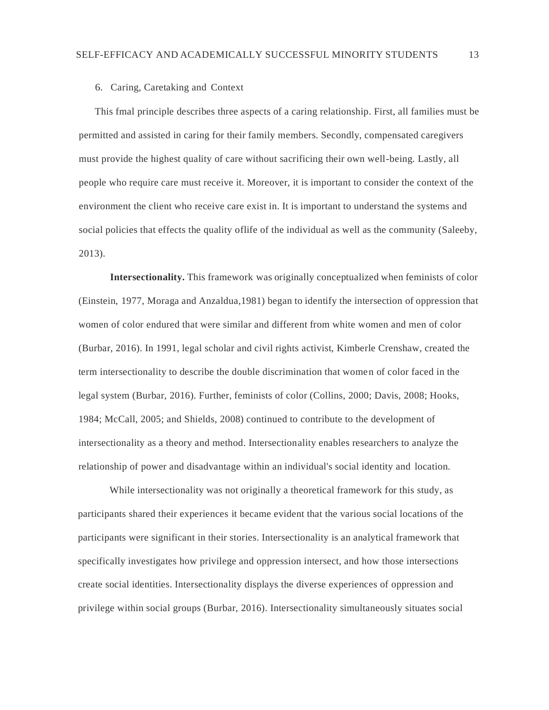#### 6. Caring, Caretaking and Context

This fmal principle describes three aspects of a caring relationship. First, all families must be permitted and assisted in caring for their family members. Secondly, compensated caregivers must provide the highest quality of care without sacrificing their own well-being. Lastly, all people who require care must receive it. Moreover, it is important to consider the context of the environment the client who receive care exist in. It is important to understand the systems and social policies that effects the quality oflife of the individual as well as the community (Saleeby, 2013).

**Intersectionality.** This framework was originally conceptualized when feminists of color (Einstein, 1977, Moraga and Anzaldua,1981) began to identify the intersection of oppression that women of color endured that were similar and different from white women and men of color (Burbar, 2016). In 1991, legal scholar and civil rights activist, Kimberle Crenshaw, created the term intersectionality to describe the double discrimination that women of color faced in the legal system (Burbar, 2016). Further, feminists of color (Collins, 2000; Davis, 2008; Hooks, 1984; McCall, 2005; and Shields, 2008) continued to contribute to the development of intersectionality as a theory and method. Intersectionality enables researchers to analyze the relationship of power and disadvantage within an individual's social identity and location.

While intersectionality was not originally a theoretical framework for this study, as participants shared their experiences it became evident that the various social locations of the participants were significant in their stories. Intersectionality is an analytical framework that specifically investigates how privilege and oppression intersect, and how those intersections create social identities. Intersectionality displays the diverse experiences of oppression and privilege within social groups (Burbar, 2016). Intersectionality simultaneously situates social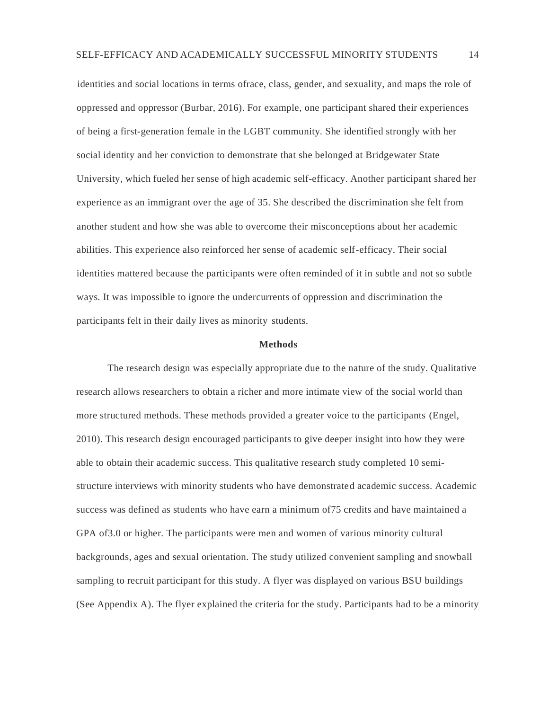identities and social locations in terms ofrace, class, gender, and sexuality, and maps the role of oppressed and oppressor (Burbar, 2016). For example, one participant shared their experiences of being a first-generation female in the LGBT community. She identified strongly with her social identity and her conviction to demonstrate that she belonged at Bridgewater State University, which fueled her sense of high academic self-efficacy. Another participant shared her experience as an immigrant over the age of 35. She described the discrimination she felt from another student and how she was able to overcome their misconceptions about her academic abilities. This experience also reinforced her sense of academic self-efficacy. Their social identities mattered because the participants were often reminded of it in subtle and not so subtle ways. It was impossible to ignore the undercurrents of oppression and discrimination the participants felt in their daily lives as minority students.

#### **Methods**

The research design was especially appropriate due to the nature of the study. Qualitative research allows researchers to obtain a richer and more intimate view of the social world than more structured methods. These methods provided a greater voice to the participants (Engel, 2010). This research design encouraged participants to give deeper insight into how they were able to obtain their academic success. This qualitative research study completed 10 semistructure interviews with minority students who have demonstrated academic success. Academic success was defined as students who have earn a minimum of75 credits and have maintained a GPA of3.0 or higher. The participants were men and women of various minority cultural backgrounds, ages and sexual orientation. The study utilized convenient sampling and snowball sampling to recruit participant for this study. A flyer was displayed on various BSU buildings (See Appendix A). The flyer explained the criteria for the study. Participants had to be a minority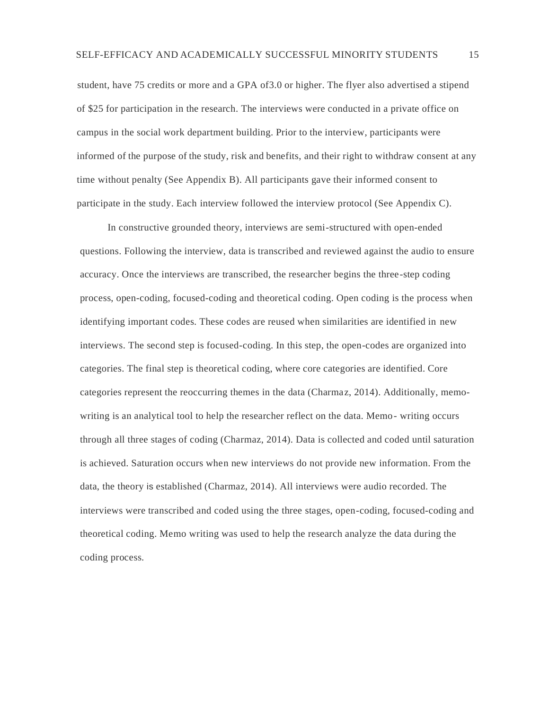student, have 75 credits or more and a GPA of3.0 or higher. The flyer also advertised a stipend of \$25 for participation in the research. The interviews were conducted in a private office on campus in the social work department building. Prior to the interview, participants were informed of the purpose of the study, risk and benefits, and their right to withdraw consent at any time without penalty (See Appendix B). All participants gave their informed consent to participate in the study. Each interview followed the interview protocol (See Appendix C).

In constructive grounded theory, interviews are semi-structured with open-ended questions. Following the interview, data is transcribed and reviewed against the audio to ensure accuracy. Once the interviews are transcribed, the researcher begins the three-step coding process, open-coding, focused-coding and theoretical coding. Open coding is the process when identifying important codes. These codes are reused when similarities are identified in new interviews. The second step is focused-coding. In this step, the open-codes are organized into categories. The final step is theoretical coding, where core categories are identified. Core categories represent the reoccurring themes in the data (Charmaz, 2014). Additionally, memowriting is an analytical tool to help the researcher reflect on the data. Memo- writing occurs through all three stages of coding (Charmaz, 2014). Data is collected and coded until saturation is achieved. Saturation occurs when new interviews do not provide new information. From the data, the theory is established (Charmaz, 2014). All interviews were audio recorded. The interviews were transcribed and coded using the three stages, open-coding, focused-coding and theoretical coding. Memo writing was used to help the research analyze the data during the coding process.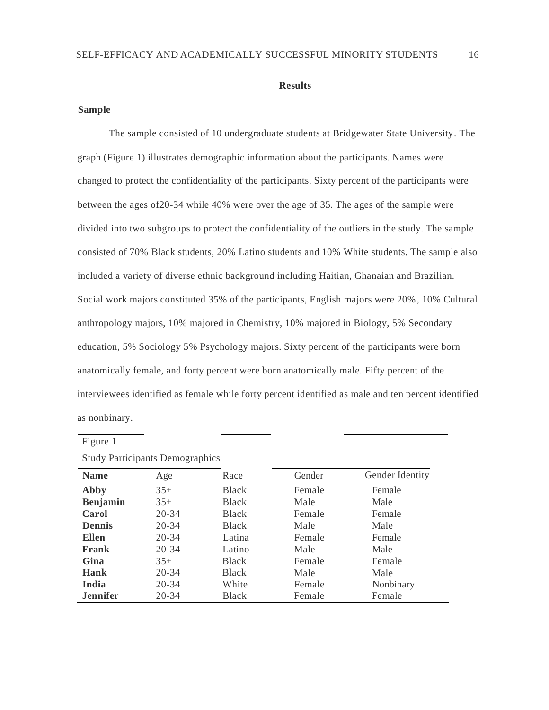#### **Results**

# **Sample**

The sample consisted of 10 undergraduate students at Bridgewater State University. The graph (Figure 1) illustrates demographic information about the participants. Names were changed to protect the confidentiality of the participants. Sixty percent of the participants were between the ages of20-34 while 40% were over the age of 35. The ages of the sample were divided into two subgroups to protect the confidentiality of the outliers in the study. The sample consisted of 70% Black students, 20% Latino students and 10% White students. The sample also included a variety of diverse ethnic background including Haitian, Ghanaian and Brazilian. Social work majors constituted 35% of the participants, English majors were 20%, 10% Cultural anthropology majors, 10% majored in Chemistry, 10% majored in Biology, 5% Secondary education, 5% Sociology 5% Psychology majors. Sixty percent of the participants were born anatomically female, and forty percent were born anatomically male. Fifty percent of the interviewees identified as female while forty percent identified as male and ten percent identified as nonbinary.

|                 | л.        |              |        |                 |
|-----------------|-----------|--------------|--------|-----------------|
| <b>Name</b>     | Age       | Race         | Gender | Gender Identity |
| Abby            | $35+$     | <b>Black</b> | Female | Female          |
| Benjamin        | $35+$     | <b>Black</b> | Male   | Male            |
| Carol           | $20 - 34$ | <b>Black</b> | Female | Female          |
| <b>Dennis</b>   | $20 - 34$ | <b>Black</b> | Male   | Male            |
| <b>Ellen</b>    | $20 - 34$ | Latina       | Female | Female          |
| Frank           | $20 - 34$ | Latino       | Male   | Male            |
| Gina            | $35+$     | <b>Black</b> | Female | Female          |
| Hank            | $20 - 34$ | <b>Black</b> | Male   | Male            |
| India           | $20 - 34$ | White        | Female | Nonbinary       |
| <b>Jennifer</b> | $20 - 34$ | Black        | Female | Female          |

Study Participants Demographics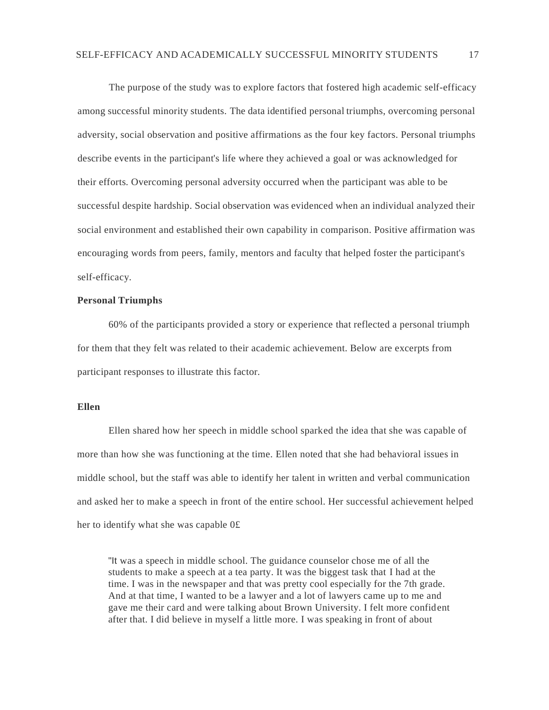The purpose of the study was to explore factors that fostered high academic self-efficacy among successful minority students. The data identified personal triumphs, overcoming personal adversity, social observation and positive affirmations as the four key factors. Personal triumphs describe events in the participant's life where they achieved a goal or was acknowledged for their efforts. Overcoming personal adversity occurred when the participant was able to be successful despite hardship. Social observation was evidenced when an individual analyzed their social environment and established their own capability in comparison. Positive affirmation was encouraging words from peers, family, mentors and faculty that helped foster the participant's self-efficacy.

## **Personal Triumphs**

60% of the participants provided a story or experience that reflected a personal triumph for them that they felt was related to their academic achievement. Below are excerpts from participant responses to illustrate this factor.

#### **Ellen**

Ellen shared how her speech in middle school sparked the idea that she was capable of more than how she was functioning at the time. Ellen noted that she had behavioral issues in middle school, but the staff was able to identify her talent in written and verbal communication and asked her to make a speech in front of the entire school. Her successful achievement helped her to identify what she was capable 0£

"It was a speech in middle school. The guidance counselor chose me of all the students to make a speech at a tea party. It was the biggest task that I had at the time. I was in the newspaper and that was pretty cool especially for the 7th grade. And at that time, I wanted to be a lawyer and a lot of lawyers came up to me and gave me their card and were talking about Brown University. I felt more confident after that. I did believe in myself a little more. I was speaking in front of about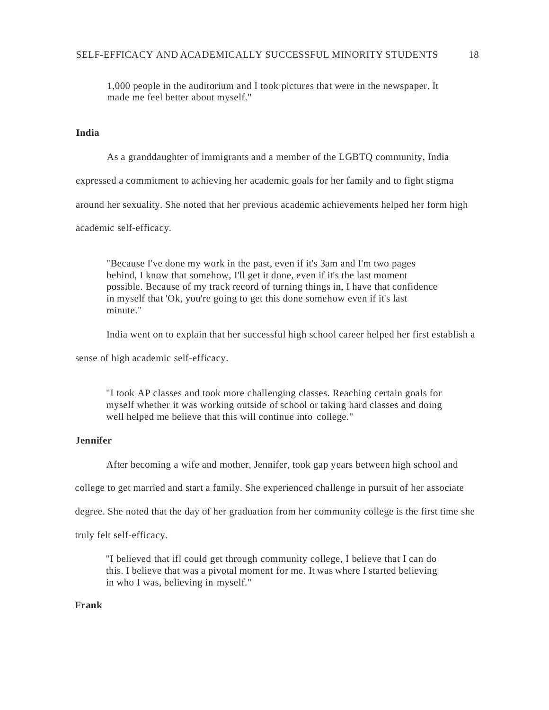1,000 people in the auditorium and I took pictures that were in the newspaper. It made me feel better about myself."

# **India**

As a granddaughter of immigrants and a member of the LGBTQ community, India expressed a commitment to achieving her academic goals for her family and to fight stigma around her sexuality. She noted that her previous academic achievements helped her form high academic self-efficacy.

"Because I've done my work in the past, even if it's 3am and I'm two pages behind, I know that somehow, I'll get it done, even if it's the last moment possible. Because of my track record of turning things in, I have that confidence in myself that 'Ok, you're going to get this done somehow even if it's last minute."

India went on to explain that her successful high school career helped her first establish a

sense of high academic self-efficacy.

"I took AP classes and took more challenging classes. Reaching certain goals for myself whether it was working outside of school or taking hard classes and doing well helped me believe that this will continue into college."

# **Jennifer**

After becoming a wife and mother, Jennifer, took gap years between high school and

college to get married and start a family. She experienced challenge in pursuit of her associate

degree. She noted that the day of her graduation from her community college is the first time she

truly felt self-efficacy.

"I believed that ifl could get through community college, I believe that I can do this. I believe that was a pivotal moment for me. It was where I started believing in who I was, believing in myself."

## **Frank**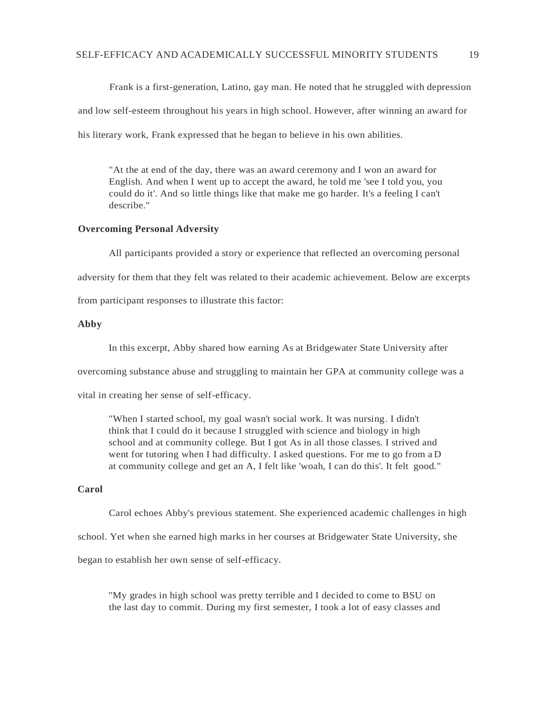Frank is a first-generation, Latino, gay man. He noted that he struggled with depression

and low self-esteem throughout his years in high school. However, after winning an award for

his literary work, Frank expressed that he began to believe in his own abilities.

"At the at end of the day, there was an award ceremony and I won an award for English. And when I went up to accept the award, he told me 'see I told you, you could do it'. And so little things like that make me go harder. It's a feeling I can't describe."

## **Overcoming Personal Adversity**

All participants provided a story or experience that reflected an overcoming personal adversity for them that they felt was related to their academic achievement. Below are excerpts from participant responses to illustrate this factor:

**Abby**

In this excerpt, Abby shared how earning As at Bridgewater State University after

overcoming substance abuse and struggling to maintain her GPA at community college was a

vital in creating her sense of self-efficacy.

"When I started school, my goal wasn't social work. It was nursing. I didn't think that I could do it because I struggled with science and biology in high school and at community college. But I got As in all those classes. I strived and went for tutoring when I had difficulty. I asked questions. For me to go from a D at community college and get an A, I felt like 'woah, I can do this'. It felt good."

# **Carol**

Carol echoes Abby's previous statement. She experienced academic challenges in high

school. Yet when she earned high marks in her courses at Bridgewater State University, she

began to establish her own sense of self-efficacy.

"My grades in high school was pretty terrible and I decided to come to BSU on the last day to commit. During my first semester, I took a lot of easy classes and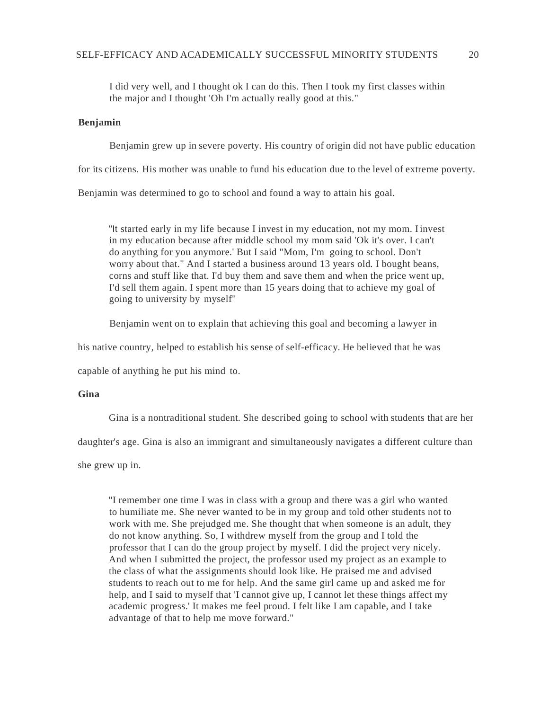I did very well, and I thought ok I can do this. Then I took my first classes within the major and I thought 'Oh I'm actually really good at this."

## **Benjamin**

Benjamin grew up in severe poverty. His country of origin did not have public education

for its citizens. His mother was unable to fund his education due to the level of extreme poverty.

Benjamin was determined to go to school and found a way to attain his goal.

"It started early in my life because I invest in my education, not my mom. Iinvest in my education because after middle school my mom said 'Ok it's over. I can't do anything for you anymore.' But I said "Mom, I'm going to school. Don't worry about that." And I started a business around 13 years old. I bought beans, corns and stuff like that. I'd buy them and save them and when the price went up, I'd sell them again. I spent more than 15 years doing that to achieve my goal of going to university by myself"

Benjamin went on to explain that achieving this goal and becoming a lawyer in

his native country, helped to establish his sense of self-efficacy. He believed that he was

capable of anything he put his mind to.

# **Gina**

Gina is a nontraditional student. She described going to school with students that are her

daughter's age. Gina is also an immigrant and simultaneously navigates a different culture than

she grew up in.

"I remember one time I was in class with a group and there was a girl who wanted to humiliate me. She never wanted to be in my group and told other students not to work with me. She prejudged me. She thought that when someone is an adult, they do not know anything. So, I withdrew myself from the group and I told the professor that I can do the group project by myself. I did the project very nicely. And when I submitted the project, the professor used my project as an example to the class of what the assignments should look like. He praised me and advised students to reach out to me for help. And the same girl came up and asked me for help, and I said to myself that 'I cannot give up, I cannot let these things affect my academic progress.' It makes me feel proud. I felt like I am capable, and I take advantage of that to help me move forward."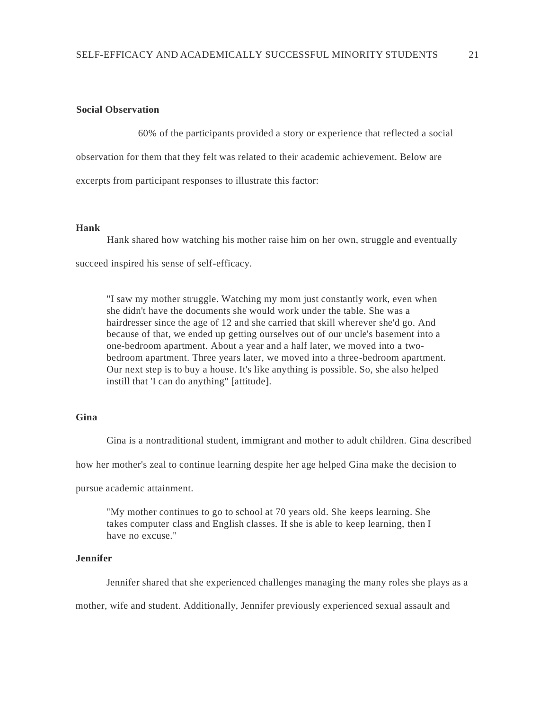## **Social Observation**

60% of the participants provided a story or experience that reflected a social observation for them that they felt was related to their academic achievement. Below are excerpts from participant responses to illustrate this factor:

# **Hank**

Hank shared how watching his mother raise him on her own, struggle and eventually succeed inspired his sense of self-efficacy.

"I saw my mother struggle. Watching my mom just constantly work, even when she didn't have the documents she would work under the table. She was a hairdresser since the age of 12 and she carried that skill wherever she'd go. And because of that, we ended up getting ourselves out of our uncle's basement into a one-bedroom apartment. About a year and a half later, we moved into a twobedroom apartment. Three years later, we moved into a three-bedroom apartment. Our next step is to buy a house. It's like anything is possible. So, she also helped instill that 'I can do anything" [attitude].

## **Gina**

Gina is a nontraditional student, immigrant and mother to adult children. Gina described

how her mother's zeal to continue learning despite her age helped Gina make the decision to

pursue academic attainment.

"My mother continues to go to school at 70 years old. She keeps learning. She takes computer class and English classes. If she is able to keep learning, then I have no excuse."

# **Jennifer**

Jennifer shared that she experienced challenges managing the many roles she plays as a

mother, wife and student. Additionally, Jennifer previously experienced sexual assault and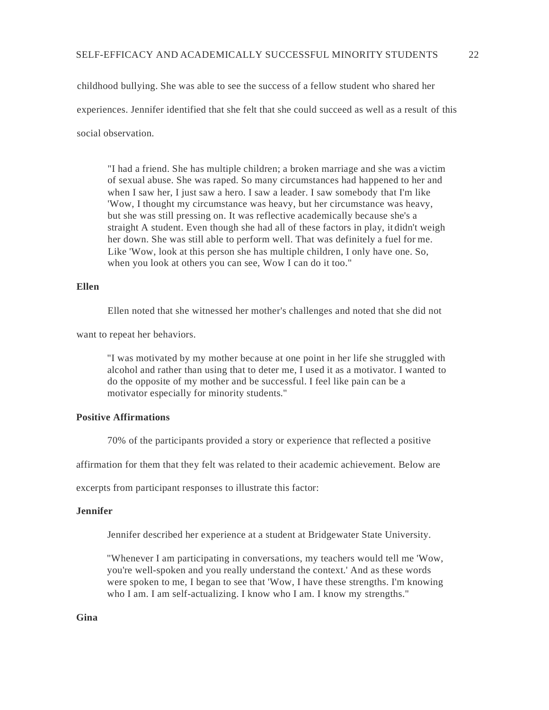childhood bullying. She was able to see the success of a fellow student who shared her experiences. Jennifer identified that she felt that she could succeed as well as a result of this social observation.

"I had a friend. She has multiple children; a broken marriage and she was a victim of sexual abuse. She was raped. So many circumstances had happened to her and when I saw her, I just saw a hero. I saw a leader. I saw somebody that I'm like 'Wow, I thought my circumstance was heavy, but her circumstance was heavy, but she was still pressing on. It was reflective academically because she's a straight A student. Even though she had all of these factors in play, it didn't weigh her down. She was still able to perform well. That was definitely a fuel for me. Like 'Wow, look at this person she has multiple children, I only have one. So, when you look at others you can see, Wow I can do it too."

## **Ellen**

Ellen noted that she witnessed her mother's challenges and noted that she did not

want to repeat her behaviors.

"I was motivated by my mother because at one point in her life she struggled with alcohol and rather than using that to deter me, I used it as a motivator. I wanted to do the opposite of my mother and be successful. I feel like pain can be a motivator especially for minority students."

## **Positive Affirmations**

70% of the participants provided a story or experience that reflected a positive

affirmation for them that they felt was related to their academic achievement. Below are

excerpts from participant responses to illustrate this factor:

## **Jennifer**

Jennifer described her experience at a student at Bridgewater State University.

"Whenever I am participating in conversations, my teachers would tell me 'Wow, you're well-spoken and you really understand the context.' And as these words were spoken to me, I began to see that 'Wow, I have these strengths. I'm knowing who I am. I am self-actualizing. I know who I am. I know my strengths."

**Gina**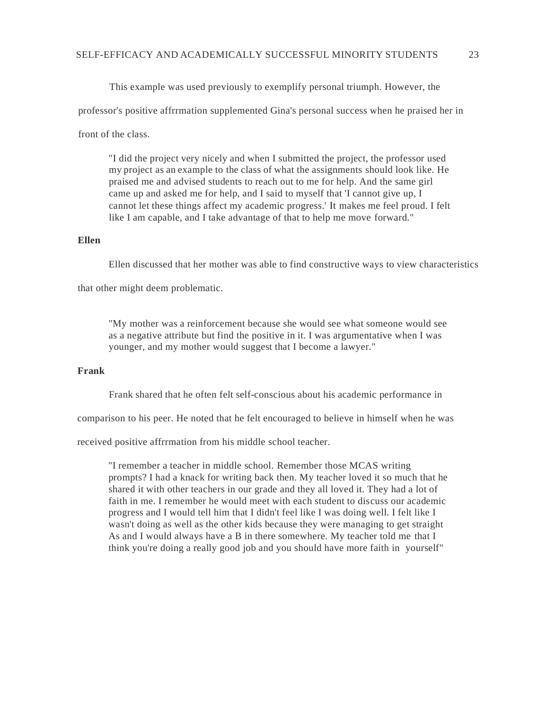This example was used previously to exemplify personal triumph. However, the

professor's positive affrrmation supplemented Gina's personal success when he praised her in

front of the class.

"I did the project very nicely and when I submitted the project, the professor used my project as an example to the class of what the assignments should look like. He praised me and advised students to reach out to me for help. And the same girl came up and asked me for help, and I said to myself that 'I cannot give up, I cannot let these things affect my academic progress.' It makes me feel proud. I felt like I am capable, and I take advantage of that to help me move forward."

#### **Ellen**

Ellen discussed that her mother was able to find constructive ways to view characteristics

that other might deem problematic.

"My mother was a reinforcement because she would see what someone would see as a negative attribute but find the positive in it. I was argumentative when I was younger, and my mother would suggest that I become a lawyer."

## **Frank**

Frank shared that he often felt self-conscious about his academic performance in

comparison to his peer. He noted that he felt encouraged to believe in himself when he was

received positive affrrmation from his middle school teacher.

"I remember a teacher in middle school. Remember those MCAS writing prompts? I had a knack for writing back then. My teacher loved it so much that he shared it with other teachers in our grade and they all loved it. They had a lot of faith in me. I remember he would meet with each student to discuss our academic progress and I would tell him that I didn't feel like I was doing well. I felt like I wasn't doing as well as the other kids because they were managing to get straight As and I would always have a B in there somewhere. My teacher told me that I think you're doing a really good job and you should have more faith in yourself"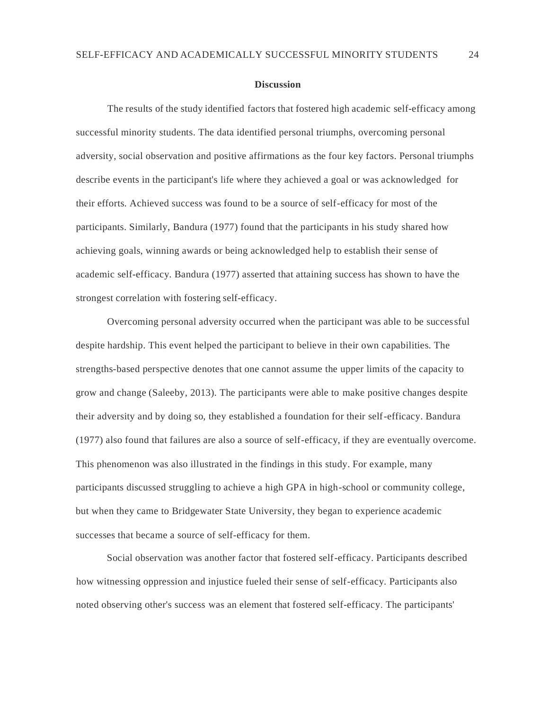#### **Discussion**

The results of the study identified factors that fostered high academic self-efficacy among successful minority students. The data identified personal triumphs, overcoming personal adversity, social observation and positive affirmations as the four key factors. Personal triumphs describe events in the participant's life where they achieved a goal or was acknowledged for their efforts. Achieved success was found to be a source of self-efficacy for most of the participants. Similarly, Bandura (1977) found that the participants in his study shared how achieving goals, winning awards or being acknowledged help to establish their sense of academic self-efficacy. Bandura (1977) asserted that attaining success has shown to have the strongest correlation with fostering self-efficacy.

Overcoming personal adversity occurred when the participant was able to be successful despite hardship. This event helped the participant to believe in their own capabilities. The strengths-based perspective denotes that one cannot assume the upper limits of the capacity to grow and change (Saleeby, 2013). The participants were able to make positive changes despite their adversity and by doing so, they established a foundation for their self-efficacy. Bandura (1977) also found that failures are also a source of self-efficacy, if they are eventually overcome. This phenomenon was also illustrated in the findings in this study. For example, many participants discussed struggling to achieve a high GPA in high-school or community college, but when they came to Bridgewater State University, they began to experience academic successes that became a source of self-efficacy for them.

Social observation was another factor that fostered self-efficacy. Participants described how witnessing oppression and injustice fueled their sense of self-efficacy. Participants also noted observing other's success was an element that fostered self-efficacy. The participants'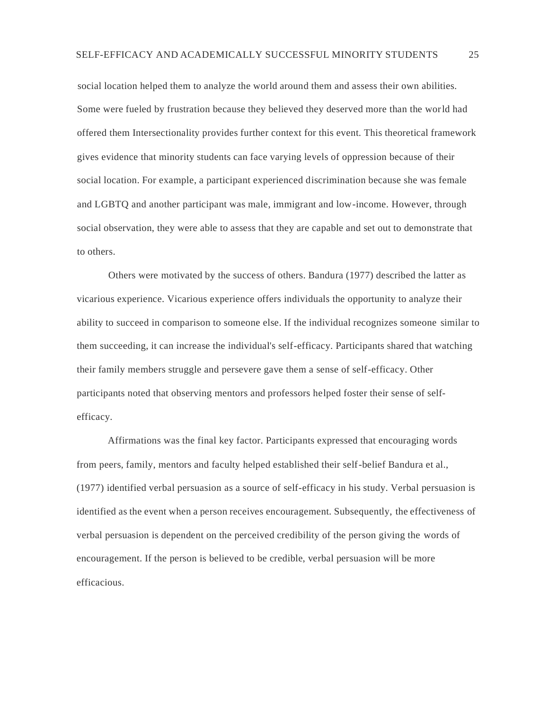social location helped them to analyze the world around them and assess their own abilities. Some were fueled by frustration because they believed they deserved more than the world had offered them Intersectionality provides further context for this event. This theoretical framework gives evidence that minority students can face varying levels of oppression because of their social location. For example, a participant experienced discrimination because she was female and LGBTQ and another participant was male, immigrant and low-income. However, through social observation, they were able to assess that they are capable and set out to demonstrate that to others.

Others were motivated by the success of others. Bandura (1977) described the latter as vicarious experience. Vicarious experience offers individuals the opportunity to analyze their ability to succeed in comparison to someone else. If the individual recognizes someone similar to them succeeding, it can increase the individual's self-efficacy. Participants shared that watching their family members struggle and persevere gave them a sense of self-efficacy. Other participants noted that observing mentors and professors helped foster their sense of selfefficacy.

Affirmations was the final key factor. Participants expressed that encouraging words from peers, family, mentors and faculty helped established their self-belief Bandura et al., (1977) identified verbal persuasion as a source of self-efficacy in his study. Verbal persuasion is identified as the event when a person receives encouragement. Subsequently, the effectiveness of verbal persuasion is dependent on the perceived credibility of the person giving the words of encouragement. If the person is believed to be credible, verbal persuasion will be more efficacious.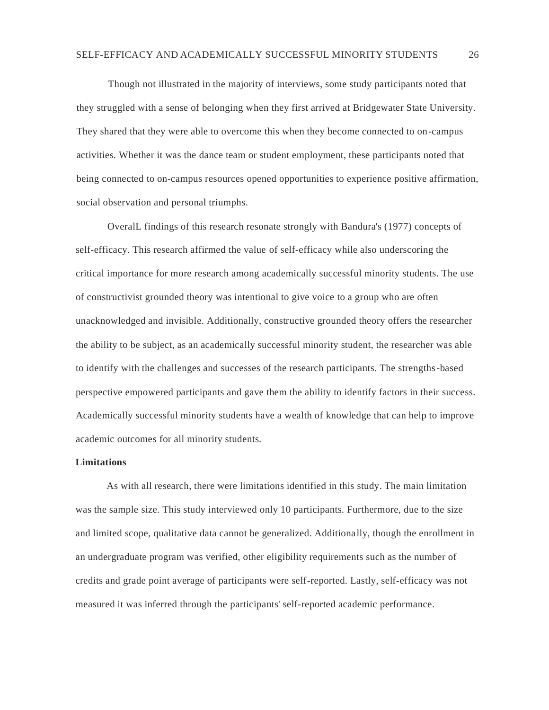Though not illustrated in the majority of interviews, some study participants noted that they struggled with a sense of belonging when they first arrived at Bridgewater State University. They shared that they were able to overcome this when they become connected to on-campus activities. Whether it was the dance team or student employment, these participants noted that being connected to on-campus resources opened opportunities to experience positive affirmation, social observation and personal triumphs.

OveralL findings of this research resonate strongly with Bandura's (1977) concepts of self-efficacy. This research affirmed the value of self-efficacy while also underscoring the critical importance for more research among academically successful minority students. The use of constructivist grounded theory was intentional to give voice to a group who are often unacknowledged and invisible. Additionally, constructive grounded theory offers the researcher the ability to be subject, as an academically successful minority student, the researcher was able to identify with the challenges and successes of the research participants. The strengths-based perspective empowered participants and gave them the ability to identify factors in their success. Academically successful minority students have a wealth of knowledge that can help to improve academic outcomes for all minority students.

#### **Limitations**

As with all research, there were limitations identified in this study. The main limitation was the sample size. This study interviewed only 10 participants. Furthermore, due to the size and limited scope, qualitative data cannot be generalized. Additionally, though the enrollment in an undergraduate program was verified, other eligibility requirements such as the number of credits and grade point average of participants were self-reported. Lastly, self-efficacy was not measured it was inferred through the participants' self-reported academic performance.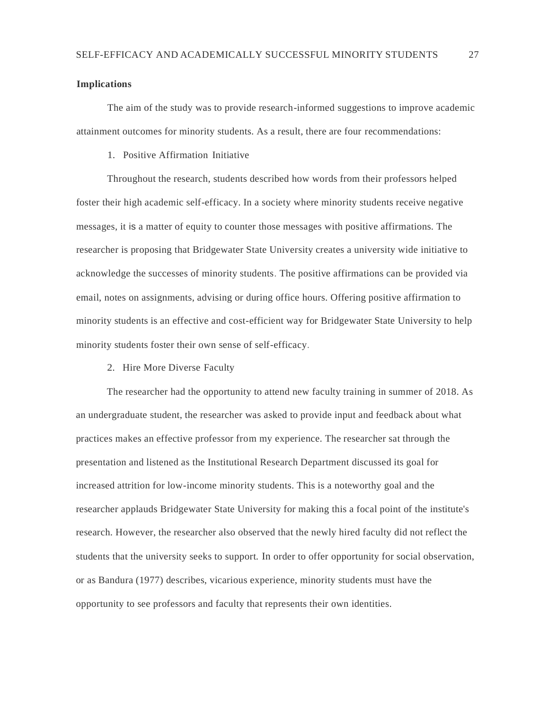# **Implications**

The aim of the study was to provide research-informed suggestions to improve academic attainment outcomes for minority students. As a result, there are four recommendations:

1. Positive Affirmation Initiative

Throughout the research, students described how words from their professors helped foster their high academic self-efficacy. In a society where minority students receive negative messages, it is a matter of equity to counter those messages with positive affirmations. The researcher is proposing that Bridgewater State University creates a university wide initiative to acknowledge the successes of minority students. The positive affirmations can be provided via email, notes on assignments, advising or during office hours. Offering positive affirmation to minority students is an effective and cost-efficient way for Bridgewater State University to help minority students foster their own sense of self-efficacy.

2. Hire More Diverse Faculty

The researcher had the opportunity to attend new faculty training in summer of 2018. As an undergraduate student, the researcher was asked to provide input and feedback about what practices makes an effective professor from my experience. The researcher sat through the presentation and listened as the Institutional Research Department discussed its goal for increased attrition for low-income minority students. This is a noteworthy goal and the researcher applauds Bridgewater State University for making this a focal point of the institute's research. However, the researcher also observed that the newly hired faculty did not reflect the students that the university seeks to support. In order to offer opportunity for social observation, or as Bandura (1977) describes, vicarious experience, minority students must have the opportunity to see professors and faculty that represents their own identities.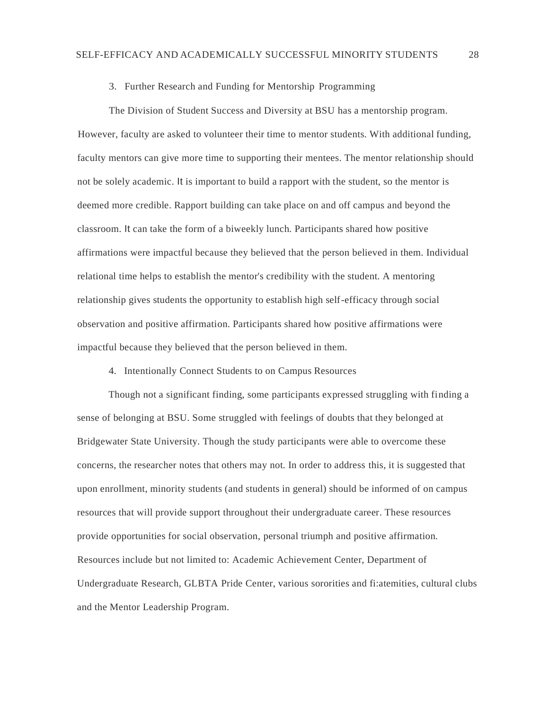## 3. Further Research and Funding for Mentorship Programming

The Division of Student Success and Diversity at BSU has a mentorship program. However, faculty are asked to volunteer their time to mentor students. With additional funding, faculty mentors can give more time to supporting their mentees. The mentor relationship should not be solely academic. It is important to build a rapport with the student, so the mentor is deemed more credible. Rapport building can take place on and off campus and beyond the classroom. It can take the form of a biweekly lunch. Participants shared how positive affirmations were impactful because they believed that the person believed in them. Individual relational time helps to establish the mentor's credibility with the student. A mentoring relationship gives students the opportunity to establish high self-efficacy through social observation and positive affirmation. Participants shared how positive affirmations were impactful because they believed that the person believed in them.

4. Intentionally Connect Students to on Campus Resources

Though not a significant finding, some participants expressed struggling with finding a sense of belonging at BSU. Some struggled with feelings of doubts that they belonged at Bridgewater State University. Though the study participants were able to overcome these concerns, the researcher notes that others may not. In order to address this, it is suggested that upon enrollment, minority students (and students in general) should be informed of on campus resources that will provide support throughout their undergraduate career. These resources provide opportunities for social observation, personal triumph and positive affirmation. Resources include but not limited to: Academic Achievement Center, Department of Undergraduate Research, GLBTA Pride Center, various sororities and fi:atemities, cultural clubs and the Mentor Leadership Program.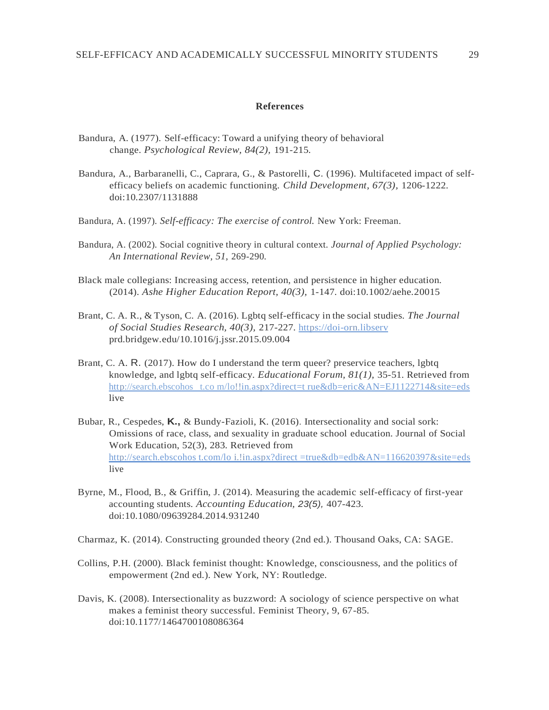#### **References**

- Bandura, A. (1977). Self-efficacy: Toward a unifying theory of behavioral change. *Psychological Review, 84(2),* 191-215.
- Bandura, A., Barbaranelli, C., Caprara, G., & Pastorelli, C. (1996). Multifaceted impact of selfefficacy beliefs on academic functioning. *Child Development, 67(3),* 1206-1222. doi:10.2307/1131888
- Bandura, A. (1997). *Self-efficacy: The exercise of control.* New York: Freeman.
- Bandura, A. (2002). Social cognitive theory in cultural context. *Journal of Applied Psychology: An International Review, 51,* 269-290.
- Black male collegians: Increasing access, retention, and persistence in higher education. (2014). *Ashe Higher Education Report, 40(3),* 1-147. doi:10.1002/aehe.20015
- Brant, C. A. R., & Tyson, C. A. (2016). Lgbtq self-efficacy in the social studies. *The Journal of Social Studies Research, 40(3),* 217-227. https://doi-orn.libserv prd.bridgew.edu/10.1016/j.jssr.2015.09.004
- Brant, C. A. R. (2017). How do I understand the term queer? preservice teachers, lgbtq knowledge, and lgbtq self-efficacy. *Educational Forum, 81(1),* 35-51. Retrieved from http://search.ebscohos [t.co m/lo!!in.aspx?direct=t rue&db=eric&AN=EJ1122714&site=eds](http://search.ebscohost.com/lo!!in.aspx?direct=true&db=eric&AN=EJ1122714&site=eds) live
- Bubar, R., Cespedes, **K.,** & Bundy-Fazioli, K. (2016). Intersectionality and social sork: Omissions of race, class, and sexuality in graduate school education. Journal of Social Work Education, 52(3), 283. Retrieved from [http://search.ebscohos t.com/lo i.!in.aspx?direct =true&db=edb&AN=116620397&site=eds](http://search.ebscohost.com/loi.!in.aspx?direct=true&db=edb&AN=116620397&site=eds) live
- Byrne, M., Flood, B., & Griffin, J. (2014). Measuring the academic self-efficacy of first-year accounting students. *Accounting Education, 23(5),* 407-423. doi:10.1080/09639284.2014.931240
- Charmaz, K. (2014). Constructing grounded theory (2nd ed.). Thousand Oaks, CA: SAGE.
- Collins, P.H. (2000). Black feminist thought: Knowledge, consciousness, and the politics of empowerment (2nd ed.). New York, NY: Routledge.
- Davis, K. (2008). Intersectionality as buzzword: A sociology of science perspective on what makes a feminist theory successful. Feminist Theory, 9, 67-85. doi:10.1177/1464700108086364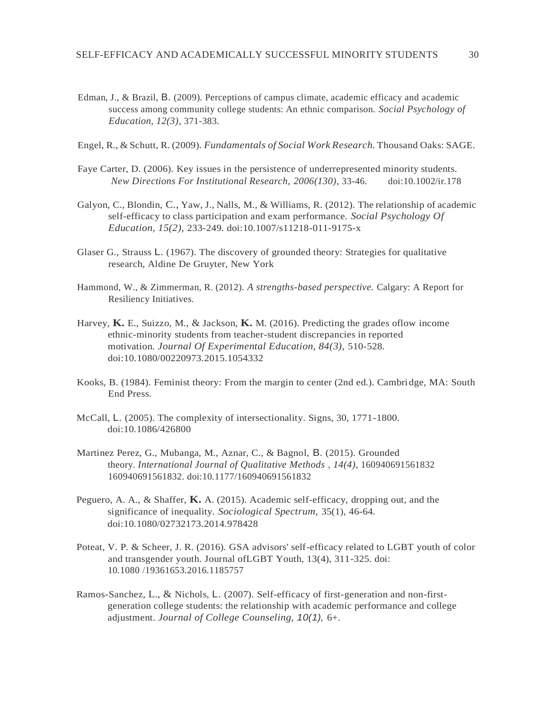Edman, J., & Brazil, B. (2009). Perceptions of campus climate, academic efficacy and academic success among community college students: An ethnic comparison. *Social Psychology of Education, 12(3),* 371-383.

Engel, R., & Schutt, R. (2009). *Fundamentals of Social Work Research.* Thousand Oaks: SAGE.

- Faye Carter, D. (2006). Key issues in the persistence of underrepresented minority students. *New Directions For Institutional Research, 2006(130),* 33-46. doi:10.1002/ir.178
- Galyon, C., Blondin, C., Yaw, J., Nalls, M., & Williams, R. (2012). The relationship of academic self-efficacy to class participation and exam performance. *Social Psychology Of Education, 15(2),* 233-249. doi:10.1007/s11218-011-9175-x
- Glaser G., Strauss L. (1967). The discovery of grounded theory: Strategies for qualitative research, Aldine De Gruyter, New York
- Hammond, W., & Zimmerman, R. (2012). *A strengths-based perspective.* Calgary: A Report for Resiliency Initiatives.
- Harvey, **K.** E., Suizzo, M., & Jackson, **K.** M. (2016). Predicting the grades oflow income ethnic-minority students from teacher-student discrepancies in reported motivation. *Journal Of Experimental Education, 84(3),* 510-528. doi:10.1080/00220973.2015.1054332
- Kooks, B. (1984). Feminist theory: From the margin to center (2nd ed.). Cambridge, MA: South End Press.
- McCall, L. (2005). The complexity of intersectionality. Signs, 30, 1771-1800. doi:10.1086/426800
- Martinez Perez, G., Mubanga, M., Aznar, C., & Bagnol, B. (2015). Grounded theory. *International Journal of Qualitative Methods , 14(4),* 160940691561832 160940691561832. doi:10.1177/160940691561832
- Peguero, A. A., & Shaffer, **K.** A. (2015). Academic self-efficacy, dropping out, and the significance of inequality. *Sociological Spectrum,* 35(1), 46-64. doi:10.1080/02732173.2014.978428
- Poteat, V. P. & Scheer, J. R. (2016). GSA advisors' self-efficacy related to LGBT youth of color and transgender youth. Journal ofLGBT Youth, 13(4), 311-325. doi: 10.1080 /19361653.2016.1185757
- Ramos-Sanchez, L., & Nichols, L. (2007). Self-efficacy of first-generation and non-firstgeneration college students: the relationship with academic performance and college adjustment. *Journal of College Counseling, 10(1),* 6+.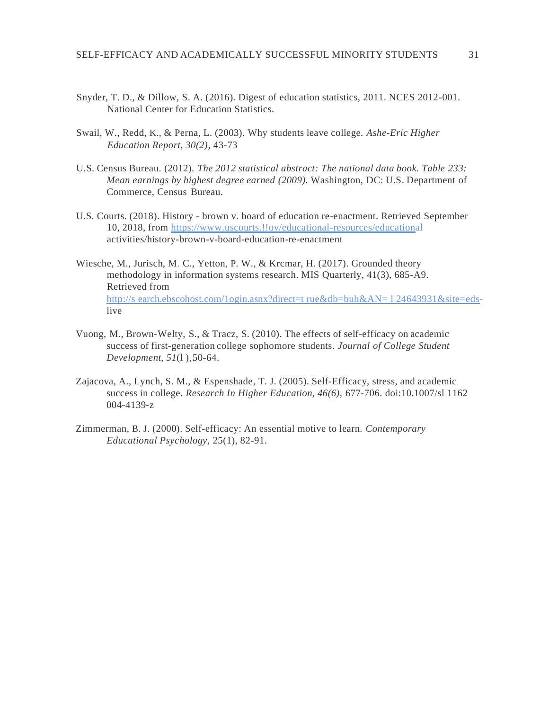- Snyder, T. D., & Dillow, S. A. (2016). Digest of education statistics, 2011. NCES 2012-001. National Center for Education Statistics.
- Swail, W., Redd, K., & Perna, L. (2003). Why students leave college. *Ashe-Eric Higher Education Report, 30(2),* 43-73
- U.S. Census Bureau. (2012). *The 2012 statistical abstract: The national data book. Table 233: Mean earnings by highest degree earned (2009).* Washington, DC: U.S. Department of Commerce, Census Bureau.
- U.S. Courts. (2018). History brown v. board of education re-enactment. Retrieved September 10, 2018, from https://www.uscourts.!!ov/educational-resources/educational activities/history-brown-v-board-education-re-enactment
- Wiesche, M., Jurisch, M. C., Yetton, P. W., & Krcmar, H. (2017). Grounded theory methodology in information systems research. MIS Quarterly, 41(3), 685-A9. Retrieved from http://s earch.ebscohost.com/1ogin.asnx?direct=t rue&db=buh&AN= 1 24643931&site=edslive
- Vuong, M., Brown-Welty, S., & Tracz, S. (2010). The effects of self-efficacy on academic success of first-generation college sophomore students. *Journal of College Student Development, 51*(l ),50-64.
- Zajacova, A., Lynch, S. M., & Espenshade, T. J. (2005). Self-Efficacy, stress, and academic success in college. *Research In Higher Education, 46(6),* 677-706. doi:10.1007/sl 1162 004-4139-z
- Zimmerman, B. J. (2000). Self-efficacy: An essential motive to learn. *Contemporary Educational Psychology,* 25(1), 82-91.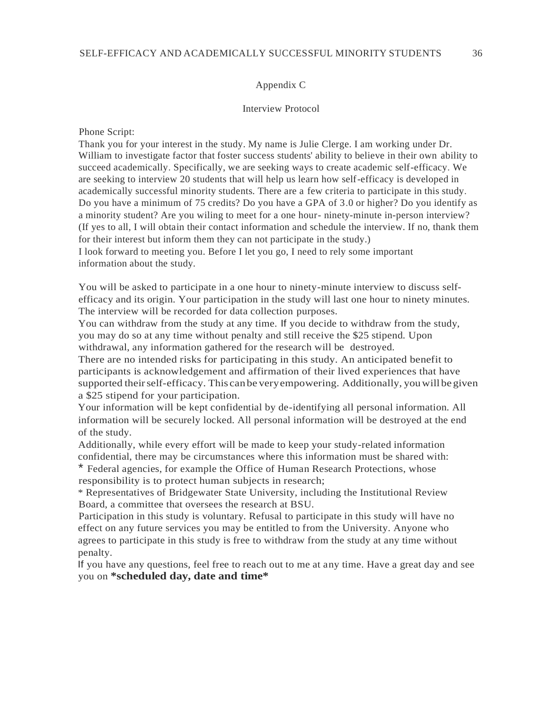## Appendix C

## Interview Protocol

Phone Script:

Thank you for your interest in the study. My name is Julie Clerge. I am working under Dr. William to investigate factor that foster success students' ability to believe in their own ability to succeed academically. Specifically, we are seeking ways to create academic self-efficacy. We are seeking to interview 20 students that will help us learn how self-efficacy is developed in academically successful minority students. There are a few criteria to participate in this study. Do you have a minimum of 75 credits? Do you have a GPA of 3.0 or higher? Do you identify as a minority student? Are you wiling to meet for a one hour- ninety-minute in-person interview? (If yes to all, I will obtain their contact information and schedule the interview. If no, thank them for their interest but inform them they can not participate in the study.)

I look forward to meeting you. Before I let you go, I need to rely some important information about the study.

You will be asked to participate in a one hour to ninety-minute interview to discuss selfefficacy and its origin. Your participation in the study will last one hour to ninety minutes. The interview will be recorded for data collection purposes.

You can withdraw from the study at any time. If you decide to withdraw from the study, you may do so at any time without penalty and still receive the \$25 stipend. Upon withdrawal, any information gathered for the research will be destroyed.

There are no intended risks for participating in this study. An anticipated benefit to participants is acknowledgement and affirmation of their lived experiences that have supported theirself-efficacy. This can be veryempowering. Additionally, youwill be given a \$25 stipend for your participation.

Your information will be kept confidential by de-identifying all personal information. All information will be securely locked. All personal information will be destroyed at the end of the study.

Additionally, while every effort will be made to keep your study-related information confidential, there may be circumstances where this information must be shared with: \* Federal agencies, for example the Office of Human Research Protections, whose

responsibility is to protect human subjects in research;

\* Representatives of Bridgewater State University, including the Institutional Review Board, a committee that oversees the research at BSU.

Participation in this study is voluntary. Refusal to participate in this study will have no effect on any future services you may be entitled to from the University. Anyone who agrees to participate in this study is free to withdraw from the study at any time without penalty.

If you have any questions, feel free to reach out to me at any time. Have a great day and see you on **\*scheduled day, date and time\***